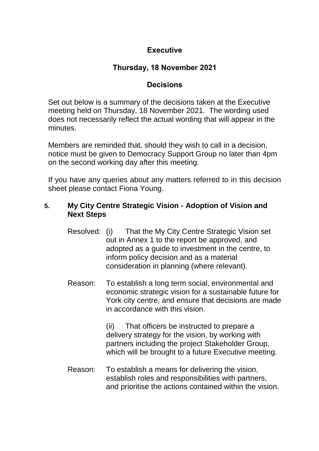# **Executive**

# **Thursday, 18 November 2021**

# **Decisions**

Set out below is a summary of the decisions taken at the Executive meeting held on Thursday, 18 November 2021. The wording used does not necessarily reflect the actual wording that will appear in the minutes.

Members are reminded that, should they wish to call in a decision, notice must be given to Democracy Support Group no later than 4pm on the second working day after this meeting.

If you have any queries about any matters referred to in this decision sheet please contact Fiona Young.

## **5. My City Centre Strategic Vision - Adoption of Vision and Next Steps**

- Resolved: (i) That the My City Centre Strategic Vision set out in Annex 1 to the report be approved, and adopted as a guide to investment in the centre, to inform policy decision and as a material consideration in planning (where relevant).
- Reason: To establish a long term social, environmental and economic strategic vision for a sustainable future for York city centre, and ensure that decisions are made in accordance with this vision.

(ii) That officers be instructed to prepare a delivery strategy for the vision, by working with partners including the project Stakeholder Group, which will be brought to a future Executive meeting.

Reason: To establish a means for delivering the vision, establish roles and responsibilities with partners, and prioritise the actions contained within the vision.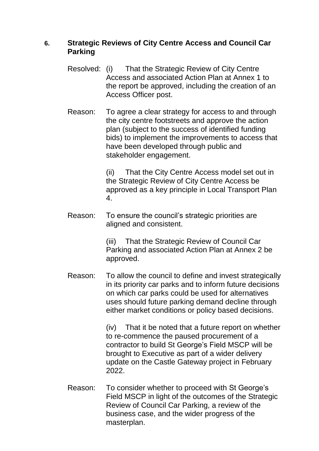### **6. Strategic Reviews of City Centre Access and Council Car Parking**

- Resolved: (i) That the Strategic Review of City Centre Access and associated Action Plan at Annex 1 to the report be approved, including the creation of an Access Officer post.
- Reason: To agree a clear strategy for access to and through the city centre footstreets and approve the action plan (subject to the success of identified funding bids) to implement the improvements to access that have been developed through public and stakeholder engagement.

(ii) That the City Centre Access model set out in the Strategic Review of City Centre Access be approved as a key principle in Local Transport Plan 4.

Reason: To ensure the council's strategic priorities are aligned and consistent.

> (iii) That the Strategic Review of Council Car Parking and associated Action Plan at Annex 2 be approved.

Reason: To allow the council to define and invest strategically in its priority car parks and to inform future decisions on which car parks could be used for alternatives uses should future parking demand decline through either market conditions or policy based decisions.

> (iv) That it be noted that a future report on whether to re-commence the paused procurement of a contractor to build St George's Field MSCP will be brought to Executive as part of a wider delivery update on the Castle Gateway project in February 2022.

Reason: To consider whether to proceed with St George's Field MSCP in light of the outcomes of the Strategic Review of Council Car Parking, a review of the business case, and the wider progress of the masterplan.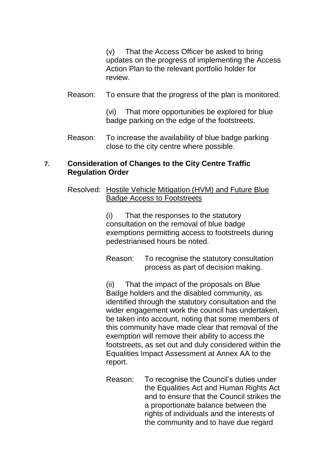(v) That the Access Officer be asked to bring updates on the progress of implementing the Access Action Plan to the relevant portfolio holder for review.

#### Reason: To ensure that the progress of the plan is monitored.

(vi) That more opportunities be explored for blue badge parking on the edge of the footstreets.

Reason: To increase the availability of blue badge parking close to the city centre where possible.

#### **7. Consideration of Changes to the City Centre Traffic Regulation Order**

Resolved: Hostile Vehicle Mitigation (HVM) and Future Blue Badge Access to Footstreets

> (i) That the responses to the statutory consultation on the removal of blue badge exemptions permitting access to footstreets during pedestrianised hours be noted.

> Reason: To recognise the statutory consultation process as part of decision making.

(ii) That the impact of the proposals on Blue Badge holders and the disabled community, as identified through the statutory consultation and the wider engagement work the council has undertaken, be taken into account, noting that some members of this community have made clear that removal of the exemption will remove their ability to access the footstreets, as set out and duly considered within the Equalities Impact Assessment at Annex AA to the report.

Reason: To recognise the Council's duties under the Equalities Act and Human Rights Act and to ensure that the Council strikes the a proportionate balance between the rights of individuals and the interests of the community and to have due regard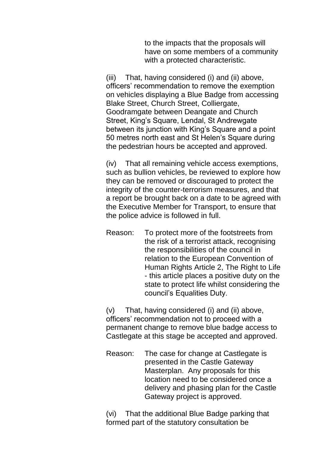to the impacts that the proposals will have on some members of a community with a protected characteristic.

(iii) That, having considered (i) and (ii) above, officers' recommendation to remove the exemption on vehicles displaying a Blue Badge from accessing Blake Street, Church Street, Colliergate, Goodramgate between Deangate and Church Street, King's Square, Lendal, St Andrewgate between its junction with King's Square and a point 50 metres north east and St Helen's Square during the pedestrian hours be accepted and approved.

(iv) That all remaining vehicle access exemptions, such as bullion vehicles, be reviewed to explore how they can be removed or discouraged to protect the integrity of the counter-terrorism measures, and that a report be brought back on a date to be agreed with the Executive Member for Transport, to ensure that the police advice is followed in full.

Reason: To protect more of the footstreets from the risk of a terrorist attack, recognising the responsibilities of the council in relation to the European Convention of Human Rights Article 2, The Right to Life - this article places a positive duty on the state to protect life whilst considering the council's Equalities Duty.

(v) That, having considered (i) and (ii) above, officers' recommendation not to proceed with a permanent change to remove blue badge access to Castlegate at this stage be accepted and approved.

Reason: The case for change at Castlegate is presented in the Castle Gateway Masterplan. Any proposals for this location need to be considered once a delivery and phasing plan for the Castle Gateway project is approved.

(vi) That the additional Blue Badge parking that formed part of the statutory consultation be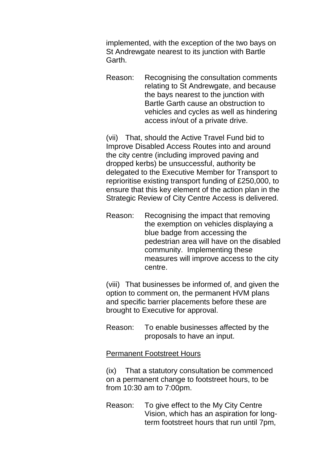implemented, with the exception of the two bays on St Andrewgate nearest to its junction with Bartle Garth.

Reason: Recognising the consultation comments relating to St Andrewgate, and because the bays nearest to the junction with Bartle Garth cause an obstruction to vehicles and cycles as well as hindering access in/out of a private drive.

(vii) That, should the Active Travel Fund bid to Improve Disabled Access Routes into and around the city centre (including improved paving and dropped kerbs) be unsuccessful, authority be delegated to the Executive Member for Transport to reprioritise existing transport funding of £250,000, to ensure that this key element of the action plan in the Strategic Review of City Centre Access is delivered.

Reason: Recognising the impact that removing the exemption on vehicles displaying a blue badge from accessing the pedestrian area will have on the disabled community. Implementing these measures will improve access to the city centre.

(viii) That businesses be informed of, and given the option to comment on, the permanent HVM plans and specific barrier placements before these are brought to Executive for approval.

Reason: To enable businesses affected by the proposals to have an input.

#### Permanent Footstreet Hours

(ix) That a statutory consultation be commenced on a permanent change to footstreet hours, to be from 10:30 am to 7:00pm.

Reason: To give effect to the My City Centre Vision, which has an aspiration for longterm footstreet hours that run until 7pm,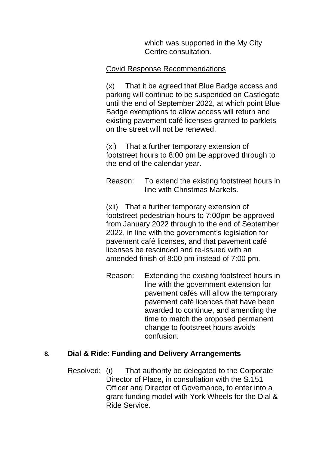which was supported in the My City Centre consultation.

### Covid Response Recommendations

(x) That it be agreed that Blue Badge access and parking will continue to be suspended on Castlegate until the end of September 2022, at which point Blue Badge exemptions to allow access will return and existing pavement café licenses granted to parklets on the street will not be renewed.

(xi) That a further temporary extension of footstreet hours to 8:00 pm be approved through to the end of the calendar year.

Reason: To extend the existing footstreet hours in line with Christmas Markets.

(xii) That a further temporary extension of footstreet pedestrian hours to 7:00pm be approved from January 2022 through to the end of September 2022, in line with the government's legislation for pavement café licenses, and that pavement café licenses be rescinded and re-issued with an amended finish of 8:00 pm instead of 7:00 pm.

Reason: Extending the existing footstreet hours in line with the government extension for pavement cafés will allow the temporary pavement café licences that have been awarded to continue, and amending the time to match the proposed permanent change to footstreet hours avoids confusion.

## **8. Dial & Ride: Funding and Delivery Arrangements**

Resolved: (i) That authority be delegated to the Corporate Director of Place, in consultation with the S.151 Officer and Director of Governance, to enter into a grant funding model with York Wheels for the Dial & Ride Service.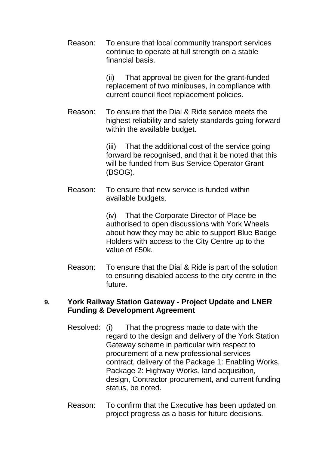Reason: To ensure that local community transport services continue to operate at full strength on a stable financial basis.

> (ii) That approval be given for the grant-funded replacement of two minibuses, in compliance with current council fleet replacement policies.

Reason: To ensure that the Dial & Ride service meets the highest reliability and safety standards going forward within the available budget.

> (iii) That the additional cost of the service going forward be recognised, and that it be noted that this will be funded from Bus Service Operator Grant (BSOG).

Reason: To ensure that new service is funded within available budgets.

> (iv) That the Corporate Director of Place be authorised to open discussions with York Wheels about how they may be able to support Blue Badge Holders with access to the City Centre up to the value of £50k.

Reason: To ensure that the Dial & Ride is part of the solution to ensuring disabled access to the city centre in the future.

#### **9. York Railway Station Gateway - Project Update and LNER Funding & Development Agreement**

- Resolved: (i) That the progress made to date with the regard to the design and delivery of the York Station Gateway scheme in particular with respect to procurement of a new professional services contract, delivery of the Package 1: Enabling Works, Package 2: Highway Works, land acquisition, design, Contractor procurement, and current funding status, be noted.
- Reason: To confirm that the Executive has been updated on project progress as a basis for future decisions.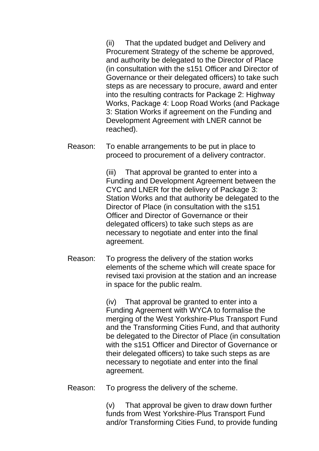(ii) That the updated budget and Delivery and Procurement Strategy of the scheme be approved, and authority be delegated to the Director of Place (in consultation with the s151 Officer and Director of Governance or their delegated officers) to take such steps as are necessary to procure, award and enter into the resulting contracts for Package 2: Highway Works, Package 4: Loop Road Works (and Package 3: Station Works if agreement on the Funding and Development Agreement with LNER cannot be reached).

Reason: To enable arrangements to be put in place to proceed to procurement of a delivery contractor.

> (iii) That approval be granted to enter into a Funding and Development Agreement between the CYC and LNER for the delivery of Package 3: Station Works and that authority be delegated to the Director of Place (in consultation with the s151 Officer and Director of Governance or their delegated officers) to take such steps as are necessary to negotiate and enter into the final agreement.

Reason: To progress the delivery of the station works elements of the scheme which will create space for revised taxi provision at the station and an increase in space for the public realm.

> (iv) That approval be granted to enter into a Funding Agreement with WYCA to formalise the merging of the West Yorkshire-Plus Transport Fund and the Transforming Cities Fund, and that authority be delegated to the Director of Place (in consultation with the s151 Officer and Director of Governance or their delegated officers) to take such steps as are necessary to negotiate and enter into the final agreement.

Reason: To progress the delivery of the scheme.

(v) That approval be given to draw down further funds from West Yorkshire-Plus Transport Fund and/or Transforming Cities Fund, to provide funding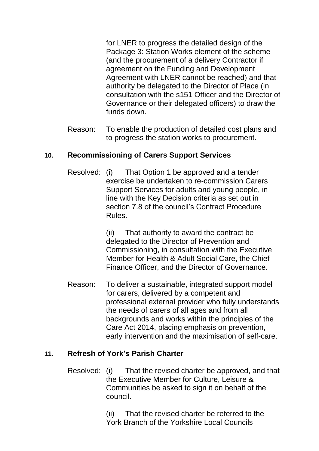for LNER to progress the detailed design of the Package 3: Station Works element of the scheme (and the procurement of a delivery Contractor if agreement on the Funding and Development Agreement with LNER cannot be reached) and that authority be delegated to the Director of Place (in consultation with the s151 Officer and the Director of Governance or their delegated officers) to draw the funds down.

Reason: To enable the production of detailed cost plans and to progress the station works to procurement.

# **10. Recommissioning of Carers Support Services**

Resolved: (i) That Option 1 be approved and a tender exercise be undertaken to re-commission Carers Support Services for adults and young people, in line with the Key Decision criteria as set out in section 7.8 of the council's Contract Procedure Rules.

> (ii) That authority to award the contract be delegated to the Director of Prevention and Commissioning, in consultation with the Executive Member for Health & Adult Social Care, the Chief Finance Officer, and the Director of Governance.

Reason: To deliver a sustainable, integrated support model for carers, delivered by a competent and professional external provider who fully understands the needs of carers of all ages and from all backgrounds and works within the principles of the Care Act 2014, placing emphasis on prevention, early intervention and the maximisation of self-care.

## **11. Refresh of York's Parish Charter**

Resolved: (i) That the revised charter be approved, and that the Executive Member for Culture, Leisure & Communities be asked to sign it on behalf of the council.

> (ii) That the revised charter be referred to the York Branch of the Yorkshire Local Councils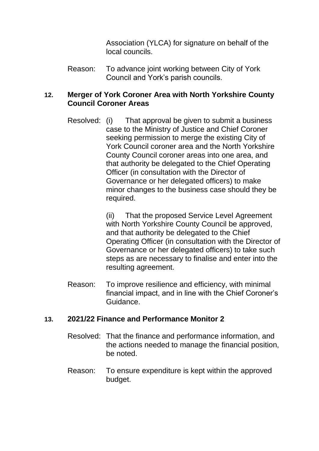Association (YLCA) for signature on behalf of the local councils.

Reason: To advance joint working between City of York Council and York's parish councils.

## **12. Merger of York Coroner Area with North Yorkshire County Council Coroner Areas**

Resolved: (i) That approval be given to submit a business case to the Ministry of Justice and Chief Coroner seeking permission to merge the existing City of York Council coroner area and the North Yorkshire County Council coroner areas into one area, and that authority be delegated to the Chief Operating Officer (in consultation with the Director of Governance or her delegated officers) to make minor changes to the business case should they be required.

> (ii) That the proposed Service Level Agreement with North Yorkshire County Council be approved, and that authority be delegated to the Chief Operating Officer (in consultation with the Director of Governance or her delegated officers) to take such steps as are necessary to finalise and enter into the resulting agreement.

Reason: To improve resilience and efficiency, with minimal financial impact, and in line with the Chief Coroner's Guidance.

## **13. 2021/22 Finance and Performance Monitor 2**

- Resolved: That the finance and performance information, and the actions needed to manage the financial position, be noted.
- Reason: To ensure expenditure is kept within the approved budget.